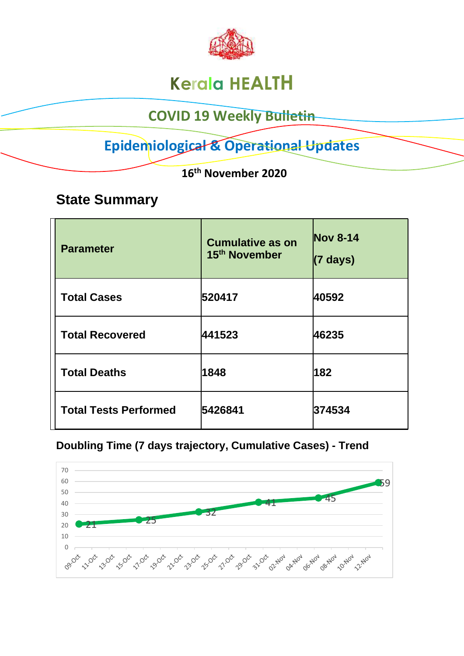

# **Kerala HEALTH**

## **COVID 19 Weekly Bulletin**

# **Epidemiological & Operational Updates**

 **16th November 2020**

## **State Summary**

| <b>Parameter</b>             | <b>Cumulative as on</b><br>15 <sup>th</sup> November | <b>Nov 8-14</b><br>$(7 \text{ days})$ |
|------------------------------|------------------------------------------------------|---------------------------------------|
| <b>Total Cases</b>           | 520417                                               | 40592                                 |
| <b>Total Recovered</b>       | 441523                                               | 46235                                 |
| <b>Total Deaths</b>          | 1848                                                 | 182                                   |
| <b>Total Tests Performed</b> | 5426841                                              | 374534                                |

### **Doubling Time (7 days trajectory, Cumulative Cases) - Trend**

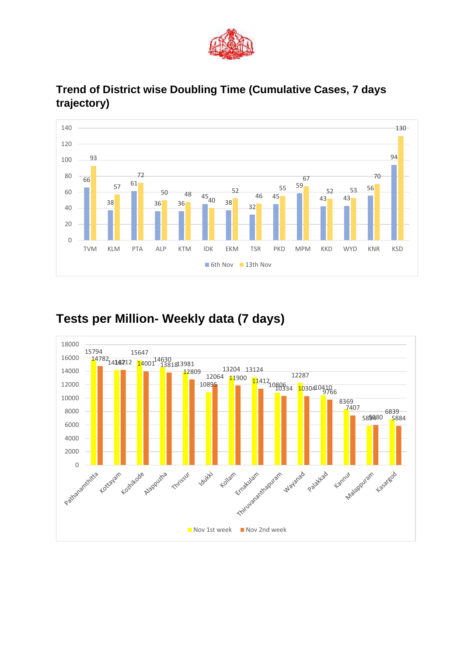



#### **Trend of District wise Doubling Time (Cumulative Cases, 7 days trajectory)**

## **Tests per Million- Weekly data (7 days)**

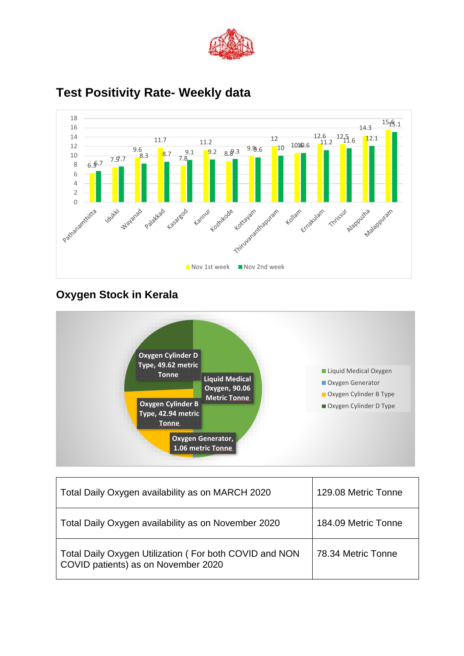



### **Test Positivity Rate- Weekly data**

### **Oxygen Stock in Kerala**



| Total Daily Oxygen availability as on MARCH 2020                                              | 129.08 Metric Tonne |
|-----------------------------------------------------------------------------------------------|---------------------|
| Total Daily Oxygen availability as on November 2020                                           | 184.09 Metric Tonne |
| Total Daily Oxygen Utilization (For both COVID and NON<br>COVID patients) as on November 2020 | 78.34 Metric Tonne  |